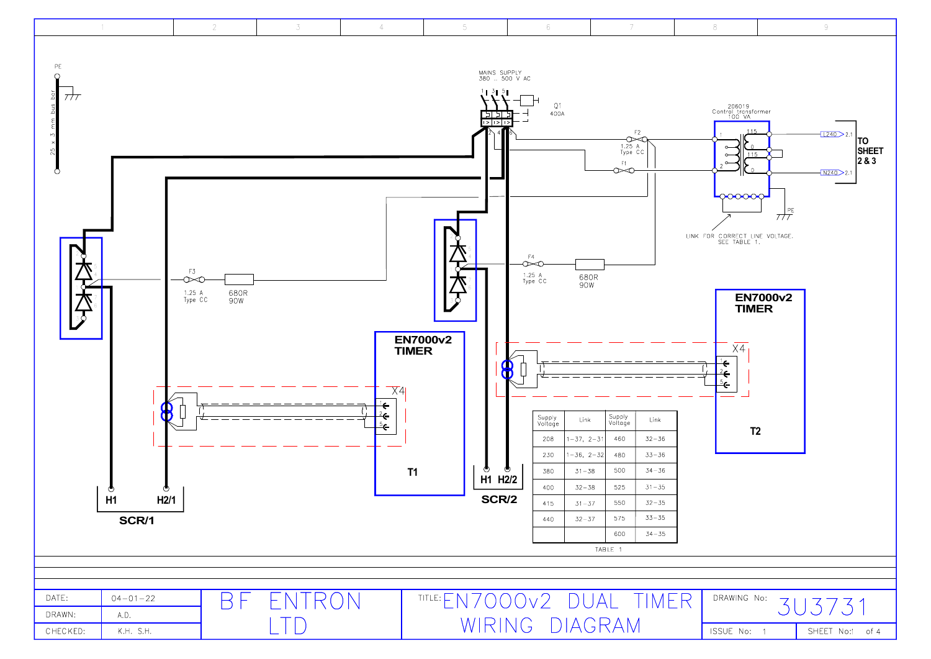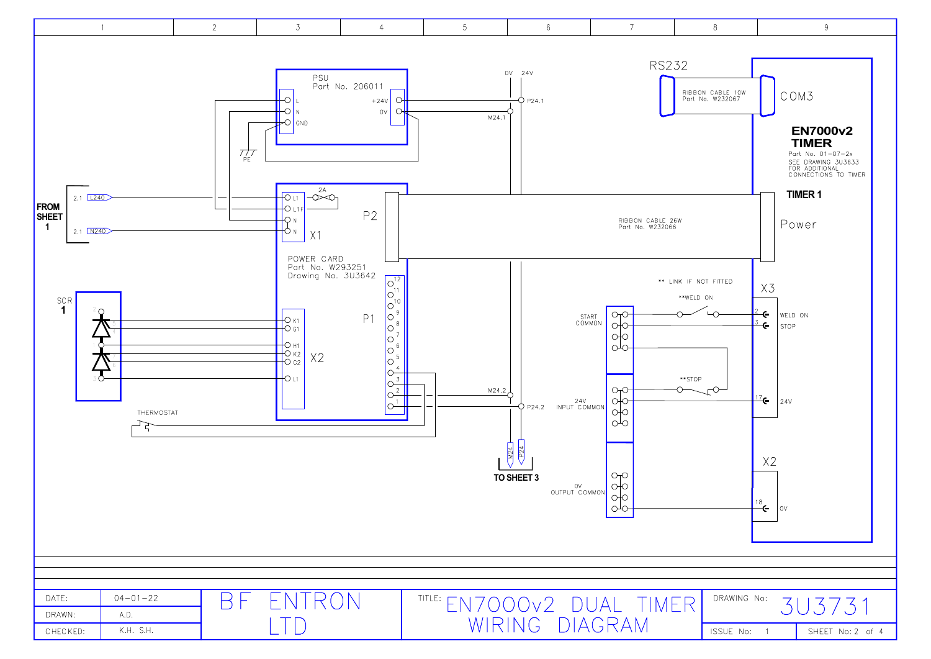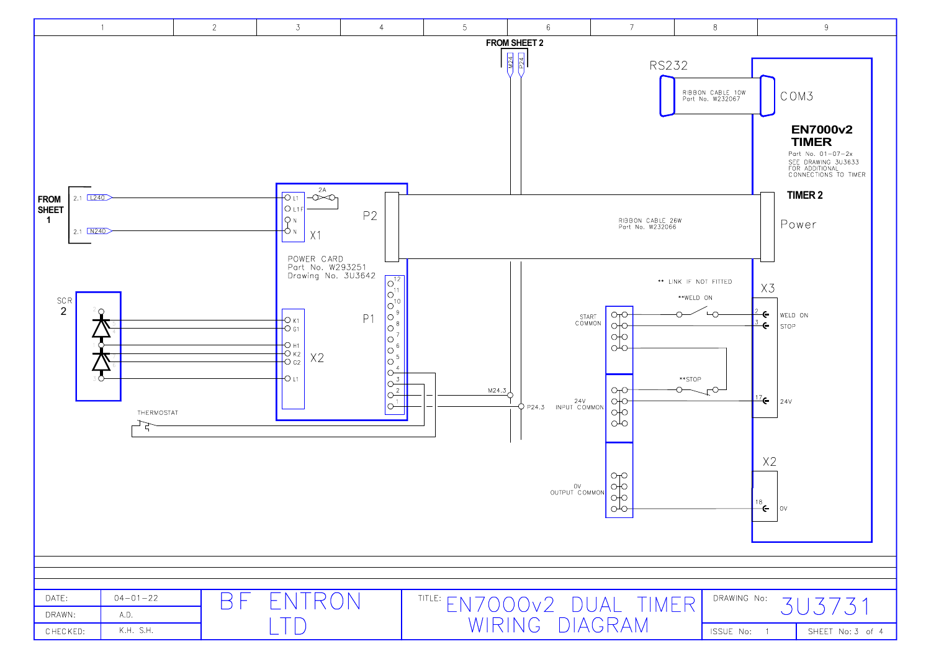